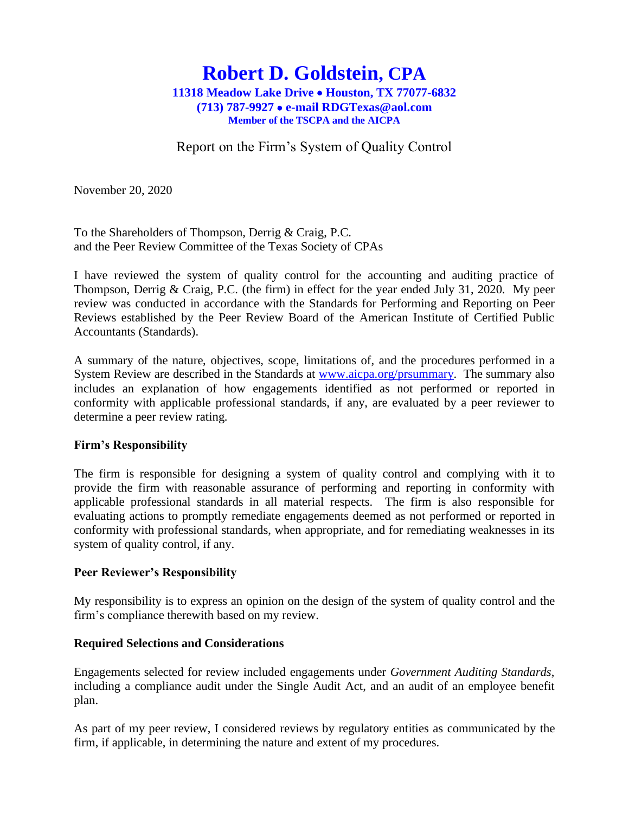# **Robert D. Goldstein, CPA 11318 Meadow Lake Drive** • **Houston, TX 77077-6832 (713) 787-9927** • **e-mail RDGTexas@aol.com Member of the TSCPA and the AICPA**

Report on the Firm's System of Quality Control

November 20, 2020

To the Shareholders of Thompson, Derrig & Craig, P.C. and the Peer Review Committee of the Texas Society of CPAs

I have reviewed the system of quality control for the accounting and auditing practice of Thompson, Derrig & Craig, P.C. (the firm) in effect for the year ended July 31, 2020. My peer review was conducted in accordance with the Standards for Performing and Reporting on Peer Reviews established by the Peer Review Board of the American Institute of Certified Public Accountants (Standards).

A summary of the nature, objectives, scope, limitations of, and the procedures performed in a System Review are described in the Standards at [www.aicpa.org/prsummary.](http://www.aicpa.org/prsummary) The summary also includes an explanation of how engagements identified as not performed or reported in conformity with applicable professional standards, if any, are evaluated by a peer reviewer to determine a peer review rating.

### **Firm's Responsibility**

The firm is responsible for designing a system of quality control and complying with it to provide the firm with reasonable assurance of performing and reporting in conformity with applicable professional standards in all material respects. The firm is also responsible for evaluating actions to promptly remediate engagements deemed as not performed or reported in conformity with professional standards, when appropriate, and for remediating weaknesses in its system of quality control, if any.

### **Peer Reviewer's Responsibility**

My responsibility is to express an opinion on the design of the system of quality control and the firm's compliance therewith based on my review.

### **Required Selections and Considerations**

Engagements selected for review included engagements under *Government Auditing Standards*, including a compliance audit under the Single Audit Act, and an audit of an employee benefit plan.

As part of my peer review, I considered reviews by regulatory entities as communicated by the firm, if applicable, in determining the nature and extent of my procedures.